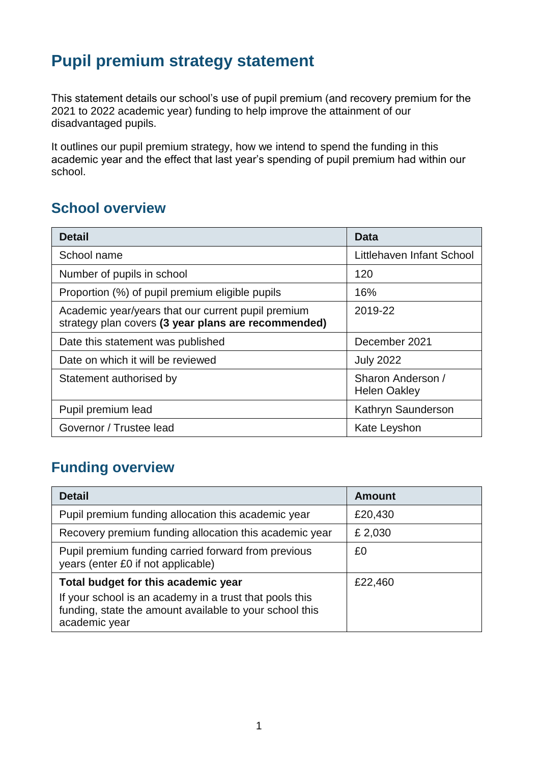# **Pupil premium strategy statement**

This statement details our school's use of pupil premium (and recovery premium for the 2021 to 2022 academic year) funding to help improve the attainment of our disadvantaged pupils.

It outlines our pupil premium strategy, how we intend to spend the funding in this academic year and the effect that last year's spending of pupil premium had within our school.

#### **School overview**

| <b>Detail</b>                                                                                             | Data                                     |
|-----------------------------------------------------------------------------------------------------------|------------------------------------------|
| School name                                                                                               | Littlehaven Infant School                |
| Number of pupils in school                                                                                | 120                                      |
| Proportion (%) of pupil premium eligible pupils                                                           | 16%                                      |
| Academic year/years that our current pupil premium<br>strategy plan covers (3 year plans are recommended) | 2019-22                                  |
| Date this statement was published                                                                         | December 2021                            |
| Date on which it will be reviewed                                                                         | <b>July 2022</b>                         |
| Statement authorised by                                                                                   | Sharon Anderson /<br><b>Helen Oakley</b> |
| Pupil premium lead                                                                                        | Kathryn Saunderson                       |
| Governor / Trustee lead                                                                                   | Kate Leyshon                             |

### **Funding overview**

| <b>Detail</b>                                                                                                                       | <b>Amount</b> |
|-------------------------------------------------------------------------------------------------------------------------------------|---------------|
| Pupil premium funding allocation this academic year                                                                                 | £20,430       |
| Recovery premium funding allocation this academic year                                                                              | £ 2,030       |
| Pupil premium funding carried forward from previous<br>years (enter £0 if not applicable)                                           | £0            |
| Total budget for this academic year                                                                                                 | £22,460       |
| If your school is an academy in a trust that pools this<br>funding, state the amount available to your school this<br>academic year |               |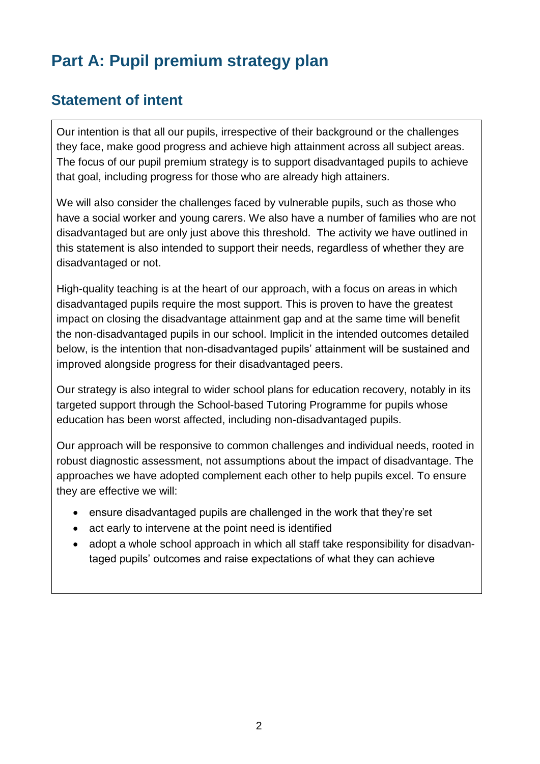# **Part A: Pupil premium strategy plan**

#### **Statement of intent**

Our intention is that all our pupils, irrespective of their background or the challenges they face, make good progress and achieve high attainment across all subject areas. The focus of our pupil premium strategy is to support disadvantaged pupils to achieve that goal, including progress for those who are already high attainers.

We will also consider the challenges faced by vulnerable pupils, such as those who have a social worker and young carers. We also have a number of families who are not disadvantaged but are only just above this threshold. The activity we have outlined in this statement is also intended to support their needs, regardless of whether they are disadvantaged or not.

High-quality teaching is at the heart of our approach, with a focus on areas in which disadvantaged pupils require the most support. This is proven to have the greatest impact on closing the disadvantage attainment gap and at the same time will benefit the non-disadvantaged pupils in our school. Implicit in the intended outcomes detailed below, is the intention that non-disadvantaged pupils' attainment will be sustained and improved alongside progress for their disadvantaged peers.

Our strategy is also integral to wider school plans for education recovery, notably in its targeted support through the School-based Tutoring Programme for pupils whose education has been worst affected, including non-disadvantaged pupils.

Our approach will be responsive to common challenges and individual needs, rooted in robust diagnostic assessment, not assumptions about the impact of disadvantage. The approaches we have adopted complement each other to help pupils excel. To ensure they are effective we will:

- ensure disadvantaged pupils are challenged in the work that they're set
- act early to intervene at the point need is identified
- adopt a whole school approach in which all staff take responsibility for disadvantaged pupils' outcomes and raise expectations of what they can achieve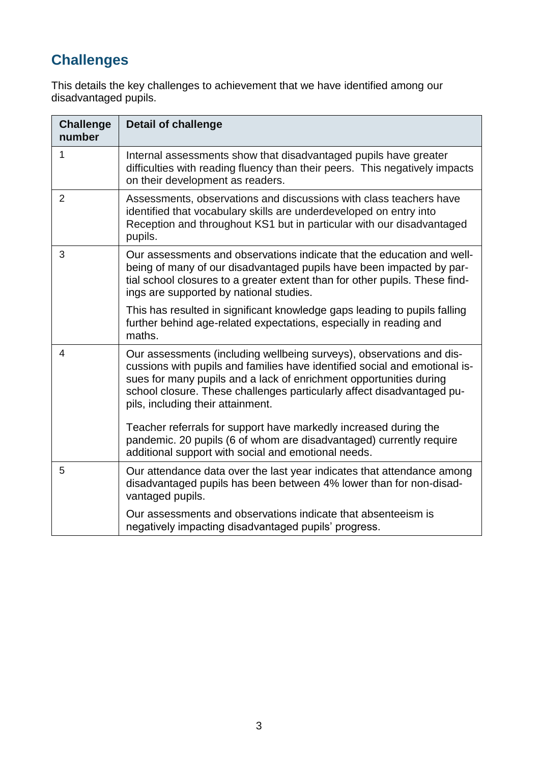# **Challenges**

This details the key challenges to achievement that we have identified among our disadvantaged pupils.

| <b>Challenge</b><br>number | <b>Detail of challenge</b>                                                                                                                                                                                                                                                                                                              |
|----------------------------|-----------------------------------------------------------------------------------------------------------------------------------------------------------------------------------------------------------------------------------------------------------------------------------------------------------------------------------------|
| $\mathbf 1$                | Internal assessments show that disadvantaged pupils have greater<br>difficulties with reading fluency than their peers. This negatively impacts<br>on their development as readers.                                                                                                                                                     |
| $\overline{2}$             | Assessments, observations and discussions with class teachers have<br>identified that vocabulary skills are underdeveloped on entry into<br>Reception and throughout KS1 but in particular with our disadvantaged<br>pupils.                                                                                                            |
| 3                          | Our assessments and observations indicate that the education and well-<br>being of many of our disadvantaged pupils have been impacted by par-<br>tial school closures to a greater extent than for other pupils. These find-<br>ings are supported by national studies.                                                                |
|                            | This has resulted in significant knowledge gaps leading to pupils falling<br>further behind age-related expectations, especially in reading and<br>maths.                                                                                                                                                                               |
| 4                          | Our assessments (including wellbeing surveys), observations and dis-<br>cussions with pupils and families have identified social and emotional is-<br>sues for many pupils and a lack of enrichment opportunities during<br>school closure. These challenges particularly affect disadvantaged pu-<br>pils, including their attainment. |
|                            | Teacher referrals for support have markedly increased during the<br>pandemic. 20 pupils (6 of whom are disadvantaged) currently require<br>additional support with social and emotional needs.                                                                                                                                          |
| 5                          | Our attendance data over the last year indicates that attendance among<br>disadvantaged pupils has been between 4% lower than for non-disad-<br>vantaged pupils.                                                                                                                                                                        |
|                            | Our assessments and observations indicate that absenteeism is<br>negatively impacting disadvantaged pupils' progress.                                                                                                                                                                                                                   |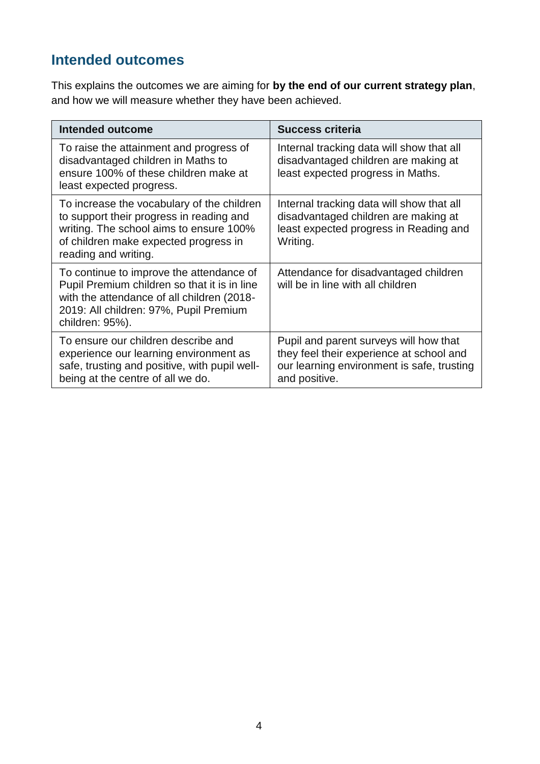## **Intended outcomes**

This explains the outcomes we are aiming for **by the end of our current strategy plan**, and how we will measure whether they have been achieved.

| <b>Intended outcome</b>                                                                                                                                                                             | <b>Success criteria</b>                                                                                                                           |
|-----------------------------------------------------------------------------------------------------------------------------------------------------------------------------------------------------|---------------------------------------------------------------------------------------------------------------------------------------------------|
| To raise the attainment and progress of<br>disadvantaged children in Maths to<br>ensure 100% of these children make at<br>least expected progress.                                                  | Internal tracking data will show that all<br>disadvantaged children are making at<br>least expected progress in Maths.                            |
| To increase the vocabulary of the children<br>to support their progress in reading and<br>writing. The school aims to ensure 100%<br>of children make expected progress in<br>reading and writing.  | Internal tracking data will show that all<br>disadvantaged children are making at<br>least expected progress in Reading and<br>Writing.           |
| To continue to improve the attendance of<br>Pupil Premium children so that it is in line<br>with the attendance of all children (2018-<br>2019: All children: 97%, Pupil Premium<br>children: 95%). | Attendance for disadvantaged children<br>will be in line with all children                                                                        |
| To ensure our children describe and<br>experience our learning environment as<br>safe, trusting and positive, with pupil well-<br>being at the centre of all we do.                                 | Pupil and parent surveys will how that<br>they feel their experience at school and<br>our learning environment is safe, trusting<br>and positive. |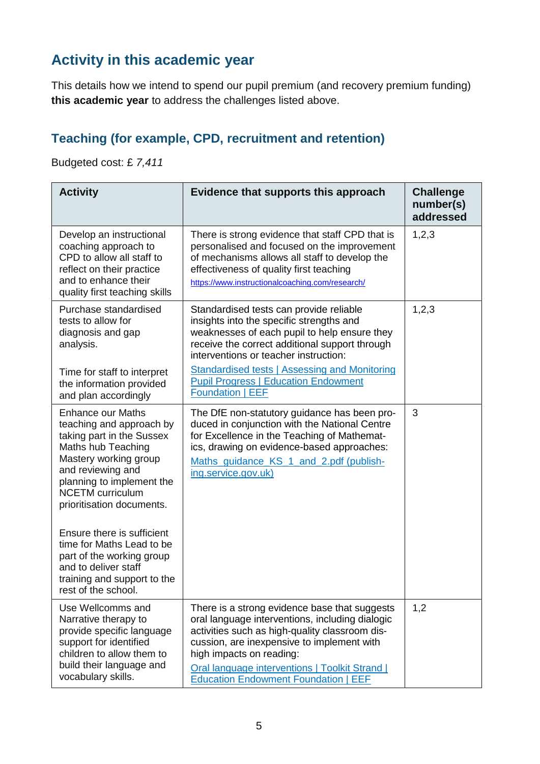## **Activity in this academic year**

This details how we intend to spend our pupil premium (and recovery premium funding) **this academic year** to address the challenges listed above.

### **Teaching (for example, CPD, recruitment and retention)**

Budgeted cost: £ *7,411*

| <b>Activity</b>                                                                                                                                                                                                                                                                                                                                                                           | Evidence that supports this approach                                                                                                                                                                                                                                                                                                                             | <b>Challenge</b><br>number(s)<br>addressed |
|-------------------------------------------------------------------------------------------------------------------------------------------------------------------------------------------------------------------------------------------------------------------------------------------------------------------------------------------------------------------------------------------|------------------------------------------------------------------------------------------------------------------------------------------------------------------------------------------------------------------------------------------------------------------------------------------------------------------------------------------------------------------|--------------------------------------------|
| Develop an instructional<br>coaching approach to<br>CPD to allow all staff to<br>reflect on their practice<br>and to enhance their<br>quality first teaching skills                                                                                                                                                                                                                       | There is strong evidence that staff CPD that is<br>personalised and focused on the improvement<br>of mechanisms allows all staff to develop the<br>effectiveness of quality first teaching<br>https://www.instructionalcoaching.com/research/                                                                                                                    | 1,2,3                                      |
| Purchase standardised<br>tests to allow for<br>diagnosis and gap<br>analysis.<br>Time for staff to interpret<br>the information provided<br>and plan accordingly                                                                                                                                                                                                                          | Standardised tests can provide reliable<br>insights into the specific strengths and<br>weaknesses of each pupil to help ensure they<br>receive the correct additional support through<br>interventions or teacher instruction:<br><b>Standardised tests   Assessing and Monitoring</b><br><b>Pupil Progress   Education Endowment</b><br><b>Foundation   EEF</b> | 1,2,3                                      |
| <b>Enhance our Maths</b><br>teaching and approach by<br>taking part in the Sussex<br>Maths hub Teaching<br>Mastery working group<br>and reviewing and<br>planning to implement the<br><b>NCETM</b> curriculum<br>prioritisation documents.<br>Ensure there is sufficient<br>time for Maths Lead to be<br>part of the working group<br>and to deliver staff<br>training and support to the | The DfE non-statutory guidance has been pro-<br>duced in conjunction with the National Centre<br>for Excellence in the Teaching of Mathemat-<br>ics, drawing on evidence-based approaches:<br>Maths_guidance_KS_1_and_2.pdf (publish-<br>ing.service.gov.uk)                                                                                                     | 3                                          |
| rest of the school.<br>Use Wellcomms and<br>Narrative therapy to<br>provide specific language<br>support for identified<br>children to allow them to<br>build their language and<br>vocabulary skills.                                                                                                                                                                                    | There is a strong evidence base that suggests<br>oral language interventions, including dialogic<br>activities such as high-quality classroom dis-<br>cussion, are inexpensive to implement with<br>high impacts on reading:<br>Oral language interventions   Toolkit Strand  <br><b>Education Endowment Foundation   EEF</b>                                    | 1,2                                        |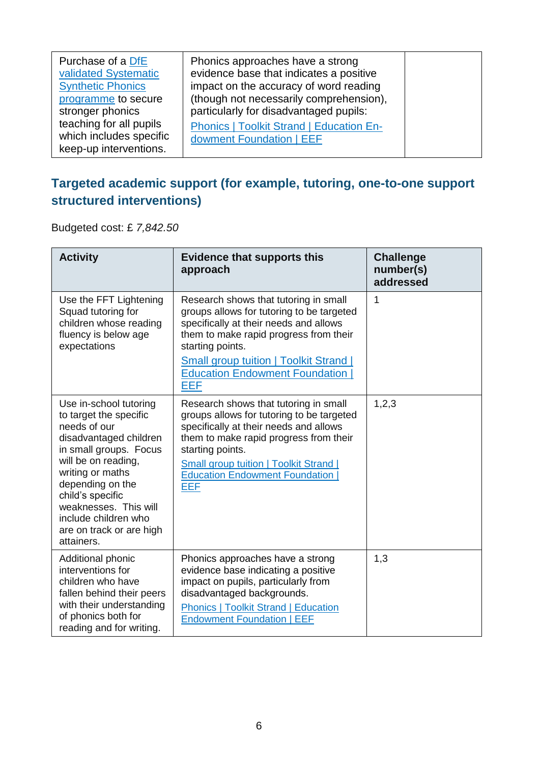| Phonics approaches have a strong<br>evidence base that indicates a positive<br>impact on the accuracy of word reading<br>(though not necessarily comprehension),<br>particularly for disadvantaged pupils:<br><b>Phonics   Toolkit Strand   Education En-</b> |                          |
|---------------------------------------------------------------------------------------------------------------------------------------------------------------------------------------------------------------------------------------------------------------|--------------------------|
|                                                                                                                                                                                                                                                               |                          |
|                                                                                                                                                                                                                                                               | dowment Foundation   EEF |

#### **Targeted academic support (for example, tutoring, one-to-one support structured interventions)**

Budgeted cost: £ *7,842.50*

| <b>Activity</b>                                                                                                                                                                                                                                                                                    | <b>Evidence that supports this</b><br>approach                                                                                                                                                                                                                                              | <b>Challenge</b><br>number(s)<br>addressed |
|----------------------------------------------------------------------------------------------------------------------------------------------------------------------------------------------------------------------------------------------------------------------------------------------------|---------------------------------------------------------------------------------------------------------------------------------------------------------------------------------------------------------------------------------------------------------------------------------------------|--------------------------------------------|
| Use the FFT Lightening<br>Squad tutoring for<br>children whose reading<br>fluency is below age<br>expectations                                                                                                                                                                                     | Research shows that tutoring in small<br>groups allows for tutoring to be targeted<br>specifically at their needs and allows<br>them to make rapid progress from their<br>starting points.<br><b>Small group tuition   Toolkit Strand  </b>                                                 | 1                                          |
|                                                                                                                                                                                                                                                                                                    | <b>Education Endowment Foundation</b><br><b>EEF</b>                                                                                                                                                                                                                                         |                                            |
| Use in-school tutoring<br>to target the specific<br>needs of our<br>disadvantaged children<br>in small groups. Focus<br>will be on reading,<br>writing or maths<br>depending on the<br>child's specific<br>weaknesses. This will<br>include children who<br>are on track or are high<br>attainers. | Research shows that tutoring in small<br>groups allows for tutoring to be targeted<br>specifically at their needs and allows<br>them to make rapid progress from their<br>starting points.<br><b>Small group tuition   Toolkit Strand  </b><br><b>Education Endowment Foundation</b><br>EEF | 1,2,3                                      |
| Additional phonic<br>interventions for<br>children who have<br>fallen behind their peers<br>with their understanding<br>of phonics both for<br>reading and for writing.                                                                                                                            | Phonics approaches have a strong<br>evidence base indicating a positive<br>impact on pupils, particularly from<br>disadvantaged backgrounds.<br><b>Phonics   Toolkit Strand   Education</b><br><b>Endowment Foundation   EEF</b>                                                            | 1,3                                        |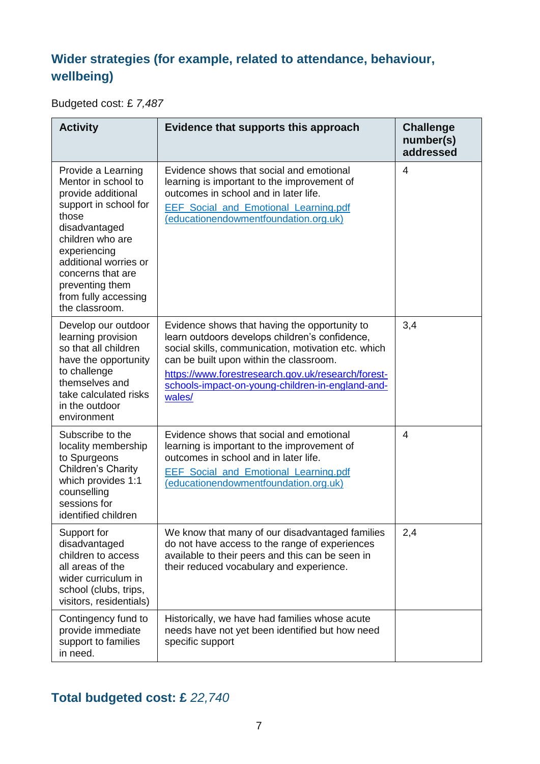### **Wider strategies (for example, related to attendance, behaviour, wellbeing)**

Budgeted cost: £ *7,487*

| <b>Activity</b>                                                                                                                                                                                                                                                   | Evidence that supports this approach                                                                                                                                                                                                                                                                                  | <b>Challenge</b><br>number(s)<br>addressed |
|-------------------------------------------------------------------------------------------------------------------------------------------------------------------------------------------------------------------------------------------------------------------|-----------------------------------------------------------------------------------------------------------------------------------------------------------------------------------------------------------------------------------------------------------------------------------------------------------------------|--------------------------------------------|
| Provide a Learning<br>Mentor in school to<br>provide additional<br>support in school for<br>those<br>disadvantaged<br>children who are<br>experiencing<br>additional worries or<br>concerns that are<br>preventing them<br>from fully accessing<br>the classroom. | Evidence shows that social and emotional<br>learning is important to the improvement of<br>outcomes in school and in later life.<br><b>EEF</b> Social and Emotional Learning.pdf<br>(educationendowmentfoundation.org.uk)                                                                                             | $\overline{4}$                             |
| Develop our outdoor<br>learning provision<br>so that all children<br>have the opportunity<br>to challenge<br>themselves and<br>take calculated risks<br>in the outdoor<br>environment                                                                             | Evidence shows that having the opportunity to<br>learn outdoors develops children's confidence,<br>social skills, communication, motivation etc. which<br>can be built upon within the classroom.<br>https://www.forestresearch.gov.uk/research/forest-<br>schools-impact-on-young-children-in-england-and-<br>wales/ | 3,4                                        |
| Subscribe to the<br>locality membership<br>to Spurgeons<br>Children's Charity<br>which provides 1:1<br>counselling<br>sessions for<br>identified children                                                                                                         | Evidence shows that social and emotional<br>learning is important to the improvement of<br>outcomes in school and in later life.<br><b>EEF</b> Social and Emotional Learning.pdf<br>(educationendowmentfoundation.org.uk)                                                                                             | 4                                          |
| Support for<br>disadvantaged<br>children to access<br>all areas of the<br>wider curriculum in<br>school (clubs, trips,<br>visitors, residentials)                                                                                                                 | We know that many of our disadvantaged families<br>do not have access to the range of experiences<br>available to their peers and this can be seen in<br>their reduced vocabulary and experience.                                                                                                                     | 2,4                                        |
| Contingency fund to<br>provide immediate<br>support to families<br>in need.                                                                                                                                                                                       | Historically, we have had families whose acute<br>needs have not yet been identified but how need<br>specific support                                                                                                                                                                                                 |                                            |

# **Total budgeted cost: £** *22,740*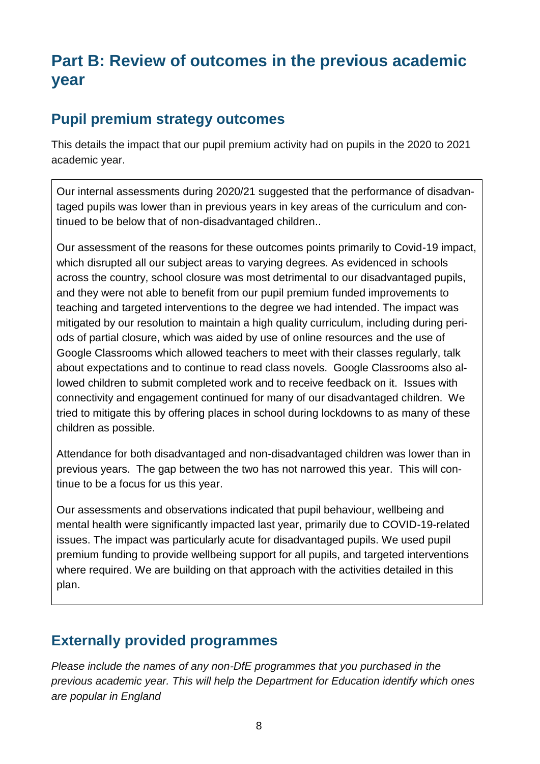# **Part B: Review of outcomes in the previous academic year**

#### **Pupil premium strategy outcomes**

This details the impact that our pupil premium activity had on pupils in the 2020 to 2021 academic year.

Our internal assessments during 2020/21 suggested that the performance of disadvantaged pupils was lower than in previous years in key areas of the curriculum and continued to be below that of non-disadvantaged children..

Our assessment of the reasons for these outcomes points primarily to Covid-19 impact, which disrupted all our subject areas to varying degrees. As evidenced in schools across the country, school closure was most detrimental to our disadvantaged pupils, and they were not able to benefit from our pupil premium funded improvements to teaching and targeted interventions to the degree we had intended. The impact was mitigated by our resolution to maintain a high quality curriculum, including during periods of partial closure, which was aided by use of online resources and the use of Google Classrooms which allowed teachers to meet with their classes regularly, talk about expectations and to continue to read class novels. Google Classrooms also allowed children to submit completed work and to receive feedback on it. Issues with connectivity and engagement continued for many of our disadvantaged children. We tried to mitigate this by offering places in school during lockdowns to as many of these children as possible.

Attendance for both disadvantaged and non-disadvantaged children was lower than in previous years. The gap between the two has not narrowed this year. This will continue to be a focus for us this year.

Our assessments and observations indicated that pupil behaviour, wellbeing and mental health were significantly impacted last year, primarily due to COVID-19-related issues. The impact was particularly acute for disadvantaged pupils. We used pupil premium funding to provide wellbeing support for all pupils, and targeted interventions where required. We are building on that approach with the activities detailed in this plan.

### **Externally provided programmes**

*Please include the names of any non-DfE programmes that you purchased in the previous academic year. This will help the Department for Education identify which ones are popular in England*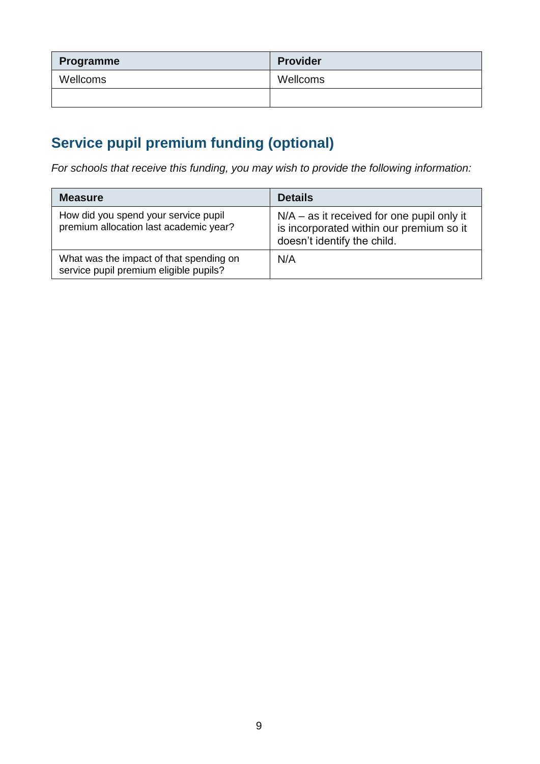| Programme | <b>Provider</b> |
|-----------|-----------------|
| Wellcoms  | Wellcoms        |
|           |                 |

# **Service pupil premium funding (optional)**

*For schools that receive this funding, you may wish to provide the following information:* 

| <b>Measure</b>                                                                    | <b>Details</b>                                                                                                          |
|-----------------------------------------------------------------------------------|-------------------------------------------------------------------------------------------------------------------------|
| How did you spend your service pupil<br>premium allocation last academic year?    | $N/A - as$ it received for one pupil only it<br>is incorporated within our premium so it<br>doesn't identify the child. |
| What was the impact of that spending on<br>service pupil premium eligible pupils? | N/A                                                                                                                     |